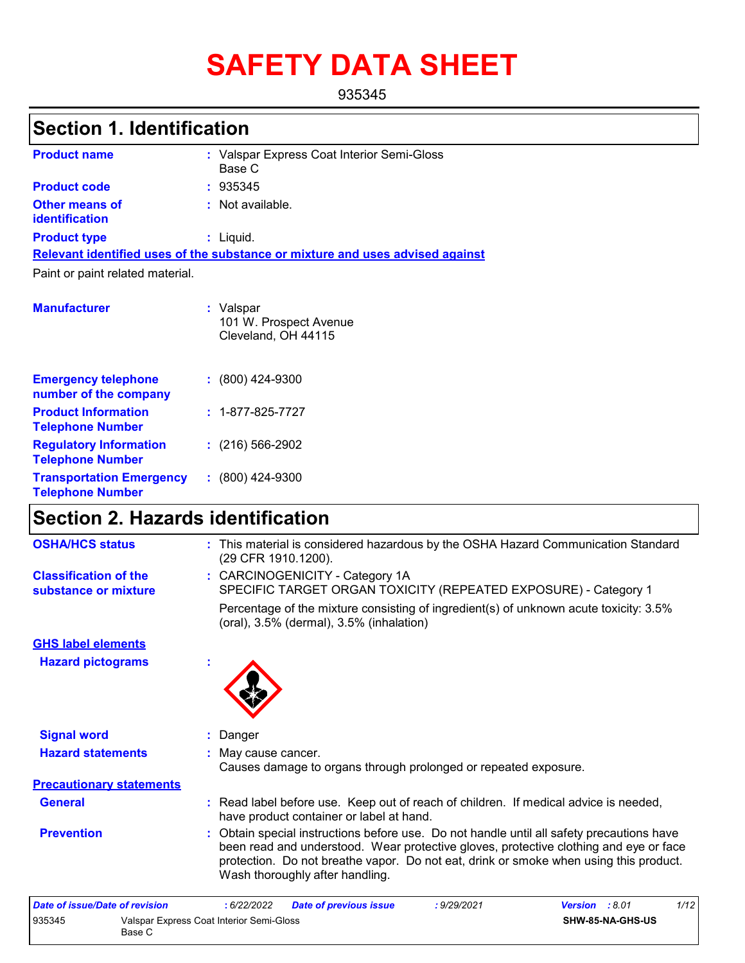# **SAFETY DATA SHEET**

935345

### **Section 1. Identification**

| <b>Product name</b>              | : Valspar Express Coat Interior Semi-Gloss<br>Base C                          |
|----------------------------------|-------------------------------------------------------------------------------|
| <b>Product code</b>              | : 935345                                                                      |
| Other means of<br>identification | $:$ Not available.                                                            |
| <b>Product type</b>              | $:$ Liquid.                                                                   |
|                                  | Relevant identified uses of the substance or mixture and uses advised against |
| Paint or paint related material. |                                                                               |
| <b>Manufacturer</b>              | : Valspar<br>101 W. Prospect Avenue<br>Cleveland, OH 44115                    |

| <b>Emergency telephone</b><br>number of the company        | $: (800)$ 424-9300       |
|------------------------------------------------------------|--------------------------|
| <b>Product Information</b><br><b>Telephone Number</b>      | $: 1 - 877 - 825 - 7727$ |
| <b>Regulatory Information</b><br><b>Telephone Number</b>   | $(216)$ 566-2902         |
| <b>Transportation Emergency</b><br><b>Telephone Number</b> | $: (800)$ 424-9300       |

### **Section 2. Hazards identification**

| <b>OSHA/HCS status</b>                               |   | : This material is considered hazardous by the OSHA Hazard Communication Standard<br>(29 CFR 1910.1200).                                                                                                                                                                                                       |
|------------------------------------------------------|---|----------------------------------------------------------------------------------------------------------------------------------------------------------------------------------------------------------------------------------------------------------------------------------------------------------------|
| <b>Classification of the</b><br>substance or mixture |   | : CARCINOGENICITY - Category 1A<br>SPECIFIC TARGET ORGAN TOXICITY (REPEATED EXPOSURE) - Category 1                                                                                                                                                                                                             |
|                                                      |   | Percentage of the mixture consisting of ingredient(s) of unknown acute toxicity: 3.5%<br>(oral), $3.5\%$ (dermal), $3.5\%$ (inhalation)                                                                                                                                                                        |
| <b>GHS label elements</b>                            |   |                                                                                                                                                                                                                                                                                                                |
| <b>Hazard pictograms</b>                             | × |                                                                                                                                                                                                                                                                                                                |
|                                                      |   |                                                                                                                                                                                                                                                                                                                |
| <b>Signal word</b>                                   |   | : Danger                                                                                                                                                                                                                                                                                                       |
| <b>Hazard statements</b>                             |   | : May cause cancer.<br>Causes damage to organs through prolonged or repeated exposure.                                                                                                                                                                                                                         |
| <b>Precautionary statements</b>                      |   |                                                                                                                                                                                                                                                                                                                |
| <b>General</b>                                       |   | : Read label before use. Keep out of reach of children. If medical advice is needed,<br>have product container or label at hand.                                                                                                                                                                               |
| <b>Prevention</b>                                    |   | : Obtain special instructions before use. Do not handle until all safety precautions have<br>been read and understood. Wear protective gloves, protective clothing and eye or face<br>protection. Do not breathe vapor. Do not eat, drink or smoke when using this product.<br>Wash thoroughly after handling. |

| Date of issue/Date of revision |                                                    | 6/22/2022 | <b>Date of previous issue</b> | : 9/29/2021      | <b>Version</b> : 8.01 | 1/12 |
|--------------------------------|----------------------------------------------------|-----------|-------------------------------|------------------|-----------------------|------|
| 935345                         | Valspar Express Coat Interior Semi-Gloss<br>Base C |           |                               | SHW-85-NA-GHS-US |                       |      |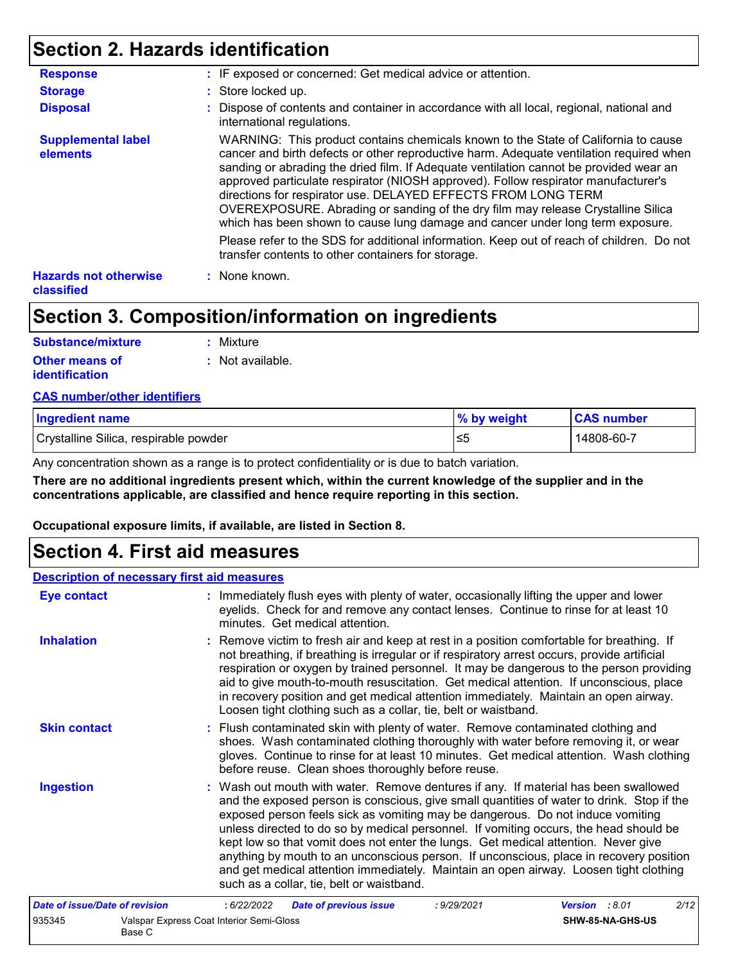### **Section 2. Hazards identification**

| <b>Response</b>                                   | : IF exposed or concerned: Get medical advice or attention.                                                                                                                                                                                                                                                                                                                                                                                                                                                                                                                                          |
|---------------------------------------------------|------------------------------------------------------------------------------------------------------------------------------------------------------------------------------------------------------------------------------------------------------------------------------------------------------------------------------------------------------------------------------------------------------------------------------------------------------------------------------------------------------------------------------------------------------------------------------------------------------|
| <b>Storage</b>                                    | : Store locked up.                                                                                                                                                                                                                                                                                                                                                                                                                                                                                                                                                                                   |
| <b>Disposal</b>                                   | : Dispose of contents and container in accordance with all local, regional, national and<br>international regulations.                                                                                                                                                                                                                                                                                                                                                                                                                                                                               |
| <b>Supplemental label</b><br>elements             | WARNING: This product contains chemicals known to the State of California to cause<br>cancer and birth defects or other reproductive harm. Adequate ventilation required when<br>sanding or abrading the dried film. If Adequate ventilation cannot be provided wear an<br>approved particulate respirator (NIOSH approved). Follow respirator manufacturer's<br>directions for respirator use. DELAYED EFFECTS FROM LONG TERM<br>OVEREXPOSURE. Abrading or sanding of the dry film may release Crystalline Silica<br>which has been shown to cause lung damage and cancer under long term exposure. |
|                                                   | Please refer to the SDS for additional information. Keep out of reach of children. Do not<br>transfer contents to other containers for storage.                                                                                                                                                                                                                                                                                                                                                                                                                                                      |
| <b>Hazards not otherwise</b><br><b>classified</b> | : None known.                                                                                                                                                                                                                                                                                                                                                                                                                                                                                                                                                                                        |

### **Section 3. Composition/information on ingredients**

| Substance/mixture     | : Mixture        |
|-----------------------|------------------|
| Other means of        | : Not available. |
| <b>identification</b> |                  |

#### **CAS number/other identifiers**

| <b>Ingredient name</b>                | % by weight | <b>CAS number</b> |
|---------------------------------------|-------------|-------------------|
| Crystalline Silica, respirable powder | ≤5          | 14808-60-7        |

Any concentration shown as a range is to protect confidentiality or is due to batch variation.

**There are no additional ingredients present which, within the current knowledge of the supplier and in the concentrations applicable, are classified and hence require reporting in this section.**

**Occupational exposure limits, if available, are listed in Section 8.**

### **Section 4. First aid measures**

| <b>Description of necessary first aid measures</b> |                                                    |            |                                                                                                                                                                                                                                                                                                                                                                                                                                                                                                                                                                                                                                                                                   |             |                  |      |
|----------------------------------------------------|----------------------------------------------------|------------|-----------------------------------------------------------------------------------------------------------------------------------------------------------------------------------------------------------------------------------------------------------------------------------------------------------------------------------------------------------------------------------------------------------------------------------------------------------------------------------------------------------------------------------------------------------------------------------------------------------------------------------------------------------------------------------|-------------|------------------|------|
| <b>Eye contact</b>                                 |                                                    |            | : Immediately flush eyes with plenty of water, occasionally lifting the upper and lower<br>eyelids. Check for and remove any contact lenses. Continue to rinse for at least 10<br>minutes. Get medical attention.                                                                                                                                                                                                                                                                                                                                                                                                                                                                 |             |                  |      |
| <b>Inhalation</b>                                  |                                                    |            | : Remove victim to fresh air and keep at rest in a position comfortable for breathing. If<br>not breathing, if breathing is irregular or if respiratory arrest occurs, provide artificial<br>respiration or oxygen by trained personnel. It may be dangerous to the person providing<br>aid to give mouth-to-mouth resuscitation. Get medical attention. If unconscious, place<br>in recovery position and get medical attention immediately. Maintain an open airway.<br>Loosen tight clothing such as a collar, tie, belt or waistband.                                                                                                                                         |             |                  |      |
| <b>Skin contact</b>                                |                                                    |            | : Flush contaminated skin with plenty of water. Remove contaminated clothing and<br>shoes. Wash contaminated clothing thoroughly with water before removing it, or wear<br>gloves. Continue to rinse for at least 10 minutes. Get medical attention. Wash clothing<br>before reuse. Clean shoes thoroughly before reuse.                                                                                                                                                                                                                                                                                                                                                          |             |                  |      |
| <b>Ingestion</b>                                   |                                                    |            | : Wash out mouth with water. Remove dentures if any. If material has been swallowed<br>and the exposed person is conscious, give small quantities of water to drink. Stop if the<br>exposed person feels sick as vomiting may be dangerous. Do not induce vomiting<br>unless directed to do so by medical personnel. If vomiting occurs, the head should be<br>kept low so that vomit does not enter the lungs. Get medical attention. Never give<br>anything by mouth to an unconscious person. If unconscious, place in recovery position<br>and get medical attention immediately. Maintain an open airway. Loosen tight clothing<br>such as a collar, tie, belt or waistband. |             |                  |      |
| Date of issue/Date of revision                     |                                                    | :6/22/2022 | <b>Date of previous issue</b>                                                                                                                                                                                                                                                                                                                                                                                                                                                                                                                                                                                                                                                     | : 9/29/2021 | Version : 8.01   | 2/12 |
| 935345                                             | Valspar Express Coat Interior Semi-Gloss<br>Base C |            |                                                                                                                                                                                                                                                                                                                                                                                                                                                                                                                                                                                                                                                                                   |             | SHW-85-NA-GHS-US |      |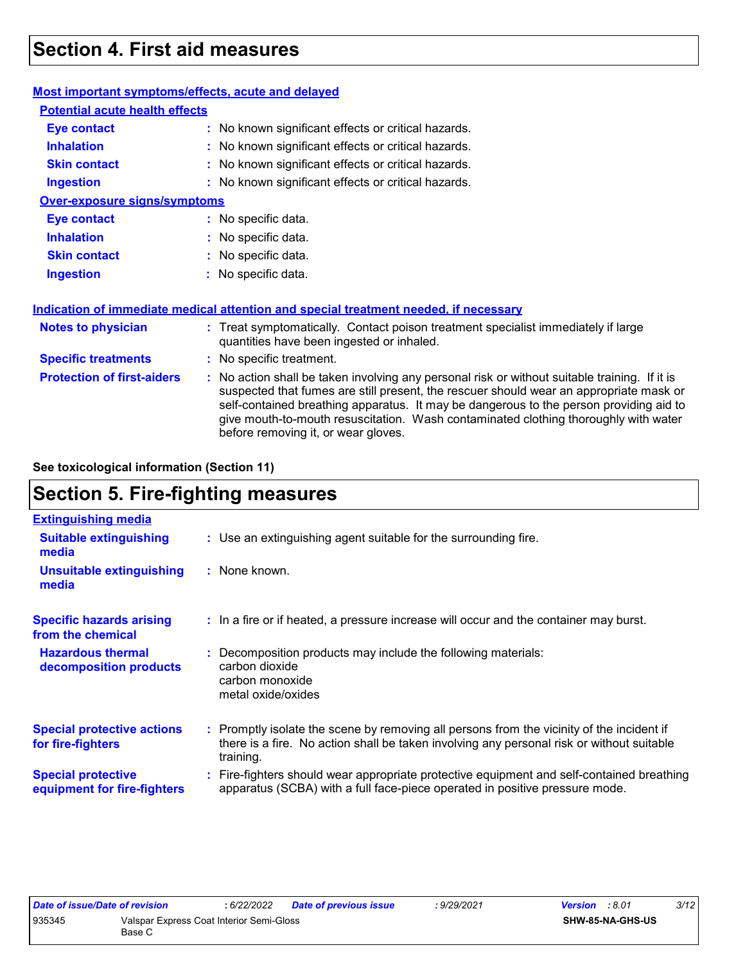### **Section 4. First aid measures**

| <b>Most important symptoms/effects, acute and delayed</b> |                                                                                                                                                                                                                                                                                                                                                                                                                 |
|-----------------------------------------------------------|-----------------------------------------------------------------------------------------------------------------------------------------------------------------------------------------------------------------------------------------------------------------------------------------------------------------------------------------------------------------------------------------------------------------|
| <b>Potential acute health effects</b>                     |                                                                                                                                                                                                                                                                                                                                                                                                                 |
| <b>Eye contact</b>                                        | : No known significant effects or critical hazards.                                                                                                                                                                                                                                                                                                                                                             |
| <b>Inhalation</b>                                         | : No known significant effects or critical hazards.                                                                                                                                                                                                                                                                                                                                                             |
| <b>Skin contact</b>                                       | : No known significant effects or critical hazards.                                                                                                                                                                                                                                                                                                                                                             |
| <b>Ingestion</b>                                          | : No known significant effects or critical hazards.                                                                                                                                                                                                                                                                                                                                                             |
| <b>Over-exposure signs/symptoms</b>                       |                                                                                                                                                                                                                                                                                                                                                                                                                 |
| <b>Eye contact</b>                                        | : No specific data.                                                                                                                                                                                                                                                                                                                                                                                             |
| <b>Inhalation</b>                                         | : No specific data.                                                                                                                                                                                                                                                                                                                                                                                             |
| <b>Skin contact</b>                                       | : No specific data.                                                                                                                                                                                                                                                                                                                                                                                             |
| <b>Ingestion</b>                                          | : No specific data.                                                                                                                                                                                                                                                                                                                                                                                             |
|                                                           | Indication of immediate medical attention and special treatment needed, if necessary                                                                                                                                                                                                                                                                                                                            |
| <b>Notes to physician</b>                                 | : Treat symptomatically. Contact poison treatment specialist immediately if large<br>quantities have been ingested or inhaled.                                                                                                                                                                                                                                                                                  |
| <b>Specific treatments</b>                                | : No specific treatment.                                                                                                                                                                                                                                                                                                                                                                                        |
| <b>Protection of first-aiders</b>                         | : No action shall be taken involving any personal risk or without suitable training. If it is<br>suspected that fumes are still present, the rescuer should wear an appropriate mask or<br>self-contained breathing apparatus. It may be dangerous to the person providing aid to<br>give mouth-to-mouth resuscitation. Wash contaminated clothing thoroughly with water<br>before removing it, or wear gloves. |

**See toxicological information (Section 11)**

### **Section 5. Fire-fighting measures**

| <b>Extinguishing media</b>                               |                                                                                                                                                                                                     |
|----------------------------------------------------------|-----------------------------------------------------------------------------------------------------------------------------------------------------------------------------------------------------|
| <b>Suitable extinguishing</b><br>media                   | : Use an extinguishing agent suitable for the surrounding fire.                                                                                                                                     |
| <b>Unsuitable extinguishing</b><br>media                 | : None known.                                                                                                                                                                                       |
| <b>Specific hazards arising</b><br>from the chemical     | : In a fire or if heated, a pressure increase will occur and the container may burst.                                                                                                               |
| <b>Hazardous thermal</b><br>decomposition products       | Decomposition products may include the following materials:<br>carbon dioxide<br>carbon monoxide<br>metal oxide/oxides                                                                              |
| <b>Special protective actions</b><br>for fire-fighters   | : Promptly isolate the scene by removing all persons from the vicinity of the incident if<br>there is a fire. No action shall be taken involving any personal risk or without suitable<br>training. |
| <b>Special protective</b><br>equipment for fire-fighters | Fire-fighters should wear appropriate protective equipment and self-contained breathing<br>apparatus (SCBA) with a full face-piece operated in positive pressure mode.                              |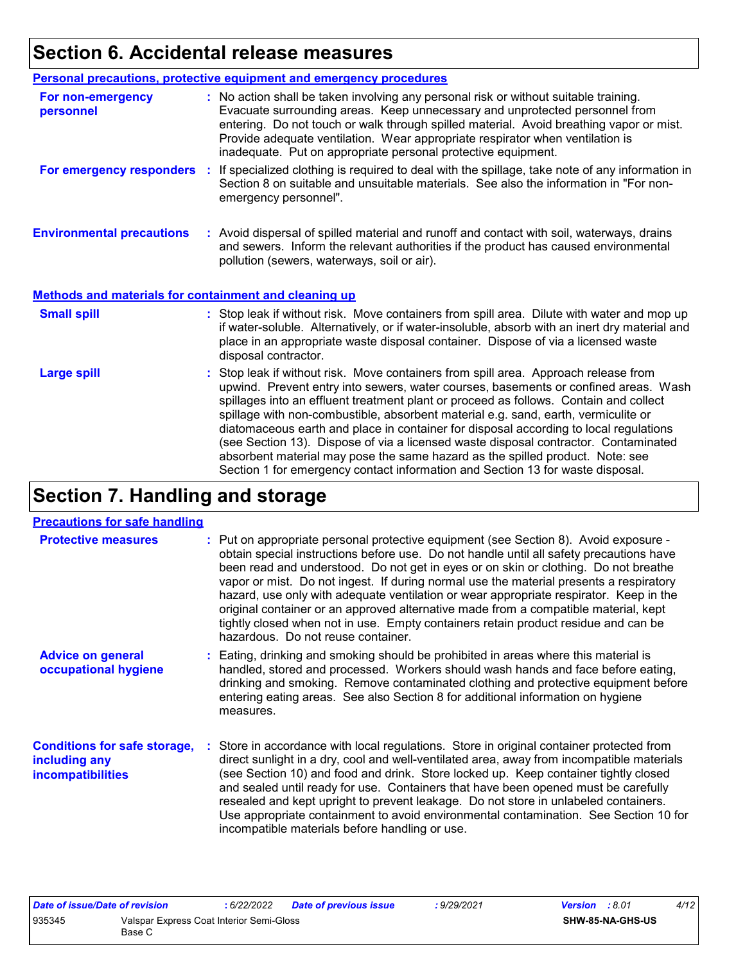### **Section 6. Accidental release measures**

|                                                              | <b>Personal precautions, protective equipment and emergency procedures</b>                                                                                                                                                                                                                                                                                                                                                                                                                                                                                                                                                                                                                                   |
|--------------------------------------------------------------|--------------------------------------------------------------------------------------------------------------------------------------------------------------------------------------------------------------------------------------------------------------------------------------------------------------------------------------------------------------------------------------------------------------------------------------------------------------------------------------------------------------------------------------------------------------------------------------------------------------------------------------------------------------------------------------------------------------|
| For non-emergency<br>personnel                               | : No action shall be taken involving any personal risk or without suitable training.<br>Evacuate surrounding areas. Keep unnecessary and unprotected personnel from<br>entering. Do not touch or walk through spilled material. Avoid breathing vapor or mist.<br>Provide adequate ventilation. Wear appropriate respirator when ventilation is<br>inadequate. Put on appropriate personal protective equipment.                                                                                                                                                                                                                                                                                             |
| For emergency responders                                     | : If specialized clothing is required to deal with the spillage, take note of any information in<br>Section 8 on suitable and unsuitable materials. See also the information in "For non-<br>emergency personnel".                                                                                                                                                                                                                                                                                                                                                                                                                                                                                           |
| <b>Environmental precautions</b>                             | : Avoid dispersal of spilled material and runoff and contact with soil, waterways, drains<br>and sewers. Inform the relevant authorities if the product has caused environmental<br>pollution (sewers, waterways, soil or air).                                                                                                                                                                                                                                                                                                                                                                                                                                                                              |
| <b>Methods and materials for containment and cleaning up</b> |                                                                                                                                                                                                                                                                                                                                                                                                                                                                                                                                                                                                                                                                                                              |
| <b>Small spill</b>                                           | : Stop leak if without risk. Move containers from spill area. Dilute with water and mop up<br>if water-soluble. Alternatively, or if water-insoluble, absorb with an inert dry material and<br>place in an appropriate waste disposal container. Dispose of via a licensed waste<br>disposal contractor.                                                                                                                                                                                                                                                                                                                                                                                                     |
| <b>Large spill</b>                                           | : Stop leak if without risk. Move containers from spill area. Approach release from<br>upwind. Prevent entry into sewers, water courses, basements or confined areas. Wash<br>spillages into an effluent treatment plant or proceed as follows. Contain and collect<br>spillage with non-combustible, absorbent material e.g. sand, earth, vermiculite or<br>diatomaceous earth and place in container for disposal according to local regulations<br>(see Section 13). Dispose of via a licensed waste disposal contractor. Contaminated<br>absorbent material may pose the same hazard as the spilled product. Note: see<br>Section 1 for emergency contact information and Section 13 for waste disposal. |

## **Section 7. Handling and storage**

#### **Precautions for safe handling**

| <b>Protective measures</b>                                                | : Put on appropriate personal protective equipment (see Section 8). Avoid exposure -<br>obtain special instructions before use. Do not handle until all safety precautions have<br>been read and understood. Do not get in eyes or on skin or clothing. Do not breathe<br>vapor or mist. Do not ingest. If during normal use the material presents a respiratory<br>hazard, use only with adequate ventilation or wear appropriate respirator. Keep in the<br>original container or an approved alternative made from a compatible material, kept<br>tightly closed when not in use. Empty containers retain product residue and can be<br>hazardous. Do not reuse container. |
|---------------------------------------------------------------------------|-------------------------------------------------------------------------------------------------------------------------------------------------------------------------------------------------------------------------------------------------------------------------------------------------------------------------------------------------------------------------------------------------------------------------------------------------------------------------------------------------------------------------------------------------------------------------------------------------------------------------------------------------------------------------------|
| <b>Advice on general</b><br>occupational hygiene                          | : Eating, drinking and smoking should be prohibited in areas where this material is<br>handled, stored and processed. Workers should wash hands and face before eating,<br>drinking and smoking. Remove contaminated clothing and protective equipment before<br>entering eating areas. See also Section 8 for additional information on hygiene<br>measures.                                                                                                                                                                                                                                                                                                                 |
| <b>Conditions for safe storage,</b><br>including any<br>incompatibilities | : Store in accordance with local regulations. Store in original container protected from<br>direct sunlight in a dry, cool and well-ventilated area, away from incompatible materials<br>(see Section 10) and food and drink. Store locked up. Keep container tightly closed<br>and sealed until ready for use. Containers that have been opened must be carefully<br>resealed and kept upright to prevent leakage. Do not store in unlabeled containers.<br>Use appropriate containment to avoid environmental contamination. See Section 10 for<br>incompatible materials before handling or use.                                                                           |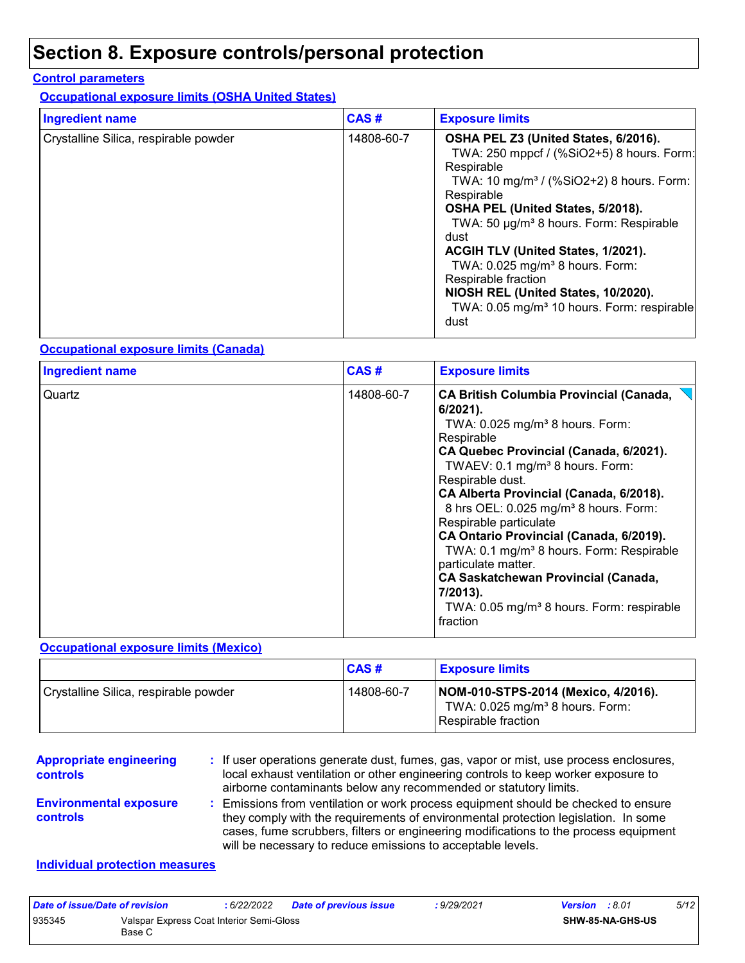### **Section 8. Exposure controls/personal protection**

#### **Control parameters**

**Occupational exposure limits (OSHA United States)**

| <b>Ingredient name</b>                | CAS#       | <b>Exposure limits</b>                                                                                                                                                                                                                                                                                                                                                                                                                                                                         |
|---------------------------------------|------------|------------------------------------------------------------------------------------------------------------------------------------------------------------------------------------------------------------------------------------------------------------------------------------------------------------------------------------------------------------------------------------------------------------------------------------------------------------------------------------------------|
| Crystalline Silica, respirable powder | 14808-60-7 | OSHA PEL Z3 (United States, 6/2016).<br>TWA: 250 mppcf / (%SiO2+5) 8 hours. Form:<br>Respirable<br>TWA: 10 mg/m <sup>3</sup> / (%SiO2+2) 8 hours. Form:<br>Respirable<br>OSHA PEL (United States, 5/2018).<br>TWA: 50 µg/m <sup>3</sup> 8 hours. Form: Respirable<br>dust<br>ACGIH TLV (United States, 1/2021).<br>TWA: 0.025 mg/m <sup>3</sup> 8 hours. Form:<br>Respirable fraction<br>NIOSH REL (United States, 10/2020).<br>TWA: 0.05 mg/m <sup>3</sup> 10 hours. Form: respirable<br>dust |

#### **Occupational exposure limits (Canada)**

| <b>Ingredient name</b> | CAS#       | <b>Exposure limits</b>                                                                                                                                                                                                                                                                                                                                                                                                                                                                                                                                                                                                       |
|------------------------|------------|------------------------------------------------------------------------------------------------------------------------------------------------------------------------------------------------------------------------------------------------------------------------------------------------------------------------------------------------------------------------------------------------------------------------------------------------------------------------------------------------------------------------------------------------------------------------------------------------------------------------------|
| Quartz                 | 14808-60-7 | <b>CA British Columbia Provincial (Canada,</b><br>$6/2021$ ).<br>TWA: $0.025$ mg/m <sup>3</sup> 8 hours. Form:<br>Respirable<br>CA Quebec Provincial (Canada, 6/2021).<br>TWAEV: 0.1 mg/m <sup>3</sup> 8 hours. Form:<br>Respirable dust.<br>CA Alberta Provincial (Canada, 6/2018).<br>8 hrs OEL: 0.025 mg/m <sup>3</sup> 8 hours. Form:<br>Respirable particulate<br>CA Ontario Provincial (Canada, 6/2019).<br>TWA: 0.1 mg/m <sup>3</sup> 8 hours. Form: Respirable<br>particulate matter.<br><b>CA Saskatchewan Provincial (Canada,</b><br>7/2013).<br>TWA: 0.05 mg/m <sup>3</sup> 8 hours. Form: respirable<br>fraction |

#### **Occupational exposure limits (Mexico)**

|                                       | <b>CAS#</b> | <b>Exposure limits</b>                                                                                      |
|---------------------------------------|-------------|-------------------------------------------------------------------------------------------------------------|
| Crystalline Silica, respirable powder | 14808-60-7  | NOM-010-STPS-2014 (Mexico, 4/2016).<br>TWA: $0.025$ mg/m <sup>3</sup> 8 hours. Form:<br>Respirable fraction |

**Appropriate engineering controls**

**:** If user operations generate dust, fumes, gas, vapor or mist, use process enclosures, local exhaust ventilation or other engineering controls to keep worker exposure to airborne contaminants below any recommended or statutory limits.

**Environmental exposure controls**

Emissions from ventilation or work process equipment should be checked to ensure **:** they comply with the requirements of environmental protection legislation. In some cases, fume scrubbers, filters or engineering modifications to the process equipment will be necessary to reduce emissions to acceptable levels.

#### **Individual protection measures**

| Date of issue/Date of revision |                                                    | 6/22/2022 | <b>Date of previous issue</b> | : 9/29/2021 | <b>Version</b> : 8.01 |                         | 5/12 |
|--------------------------------|----------------------------------------------------|-----------|-------------------------------|-------------|-----------------------|-------------------------|------|
| 935345                         | Valspar Express Coat Interior Semi-Gloss<br>Base C |           |                               |             |                       | <b>SHW-85-NA-GHS-US</b> |      |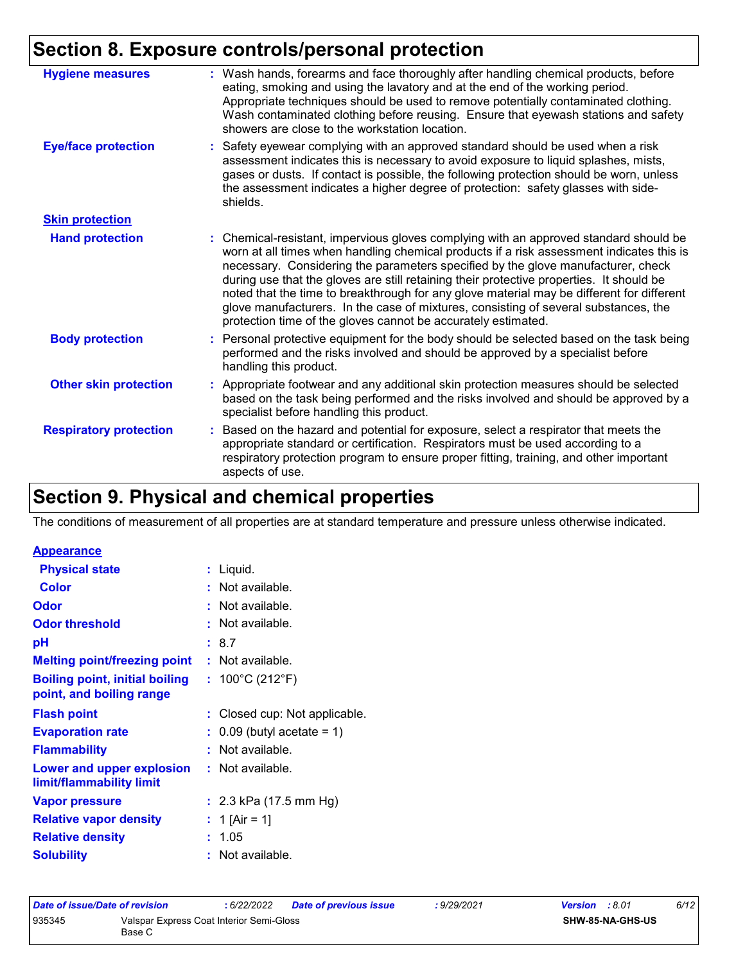### **Section 8. Exposure controls/personal protection**

| <b>Hygiene measures</b>       | : Wash hands, forearms and face thoroughly after handling chemical products, before<br>eating, smoking and using the lavatory and at the end of the working period.<br>Appropriate techniques should be used to remove potentially contaminated clothing.<br>Wash contaminated clothing before reusing. Ensure that eyewash stations and safety<br>showers are close to the workstation location.                                                                                                                                                                                                                      |
|-------------------------------|------------------------------------------------------------------------------------------------------------------------------------------------------------------------------------------------------------------------------------------------------------------------------------------------------------------------------------------------------------------------------------------------------------------------------------------------------------------------------------------------------------------------------------------------------------------------------------------------------------------------|
| <b>Eye/face protection</b>    | : Safety eyewear complying with an approved standard should be used when a risk<br>assessment indicates this is necessary to avoid exposure to liquid splashes, mists,<br>gases or dusts. If contact is possible, the following protection should be worn, unless<br>the assessment indicates a higher degree of protection: safety glasses with side-<br>shields.                                                                                                                                                                                                                                                     |
| <b>Skin protection</b>        |                                                                                                                                                                                                                                                                                                                                                                                                                                                                                                                                                                                                                        |
| <b>Hand protection</b>        | : Chemical-resistant, impervious gloves complying with an approved standard should be<br>worn at all times when handling chemical products if a risk assessment indicates this is<br>necessary. Considering the parameters specified by the glove manufacturer, check<br>during use that the gloves are still retaining their protective properties. It should be<br>noted that the time to breakthrough for any glove material may be different for different<br>glove manufacturers. In the case of mixtures, consisting of several substances, the<br>protection time of the gloves cannot be accurately estimated. |
| <b>Body protection</b>        | : Personal protective equipment for the body should be selected based on the task being<br>performed and the risks involved and should be approved by a specialist before<br>handling this product.                                                                                                                                                                                                                                                                                                                                                                                                                    |
| <b>Other skin protection</b>  | : Appropriate footwear and any additional skin protection measures should be selected<br>based on the task being performed and the risks involved and should be approved by a<br>specialist before handling this product.                                                                                                                                                                                                                                                                                                                                                                                              |
| <b>Respiratory protection</b> | : Based on the hazard and potential for exposure, select a respirator that meets the<br>appropriate standard or certification. Respirators must be used according to a<br>respiratory protection program to ensure proper fitting, training, and other important<br>aspects of use.                                                                                                                                                                                                                                                                                                                                    |
|                               |                                                                                                                                                                                                                                                                                                                                                                                                                                                                                                                                                                                                                        |

### **Section 9. Physical and chemical properties**

The conditions of measurement of all properties are at standard temperature and pressure unless otherwise indicated.

#### **Appearance**

| <b>Physical state</b>                                             |    | : Liquid.                             |
|-------------------------------------------------------------------|----|---------------------------------------|
| <b>Color</b>                                                      |    | : Not available.                      |
| <b>Odor</b>                                                       |    | : Not available.                      |
| <b>Odor threshold</b>                                             |    | : Not available.                      |
| рH                                                                |    | : 8.7                                 |
| <b>Melting point/freezing point</b>                               |    | : Not available.                      |
| <b>Boiling point, initial boiling</b><br>point, and boiling range |    | : $100^{\circ}$ C (212 $^{\circ}$ F)  |
| <b>Flash point</b>                                                |    | : Closed cup: Not applicable.         |
| <b>Evaporation rate</b>                                           |    | $\therefore$ 0.09 (butyl acetate = 1) |
| <b>Flammability</b>                                               |    | : Not available.                      |
| Lower and upper explosion<br>limit/flammability limit             |    | : Not available.                      |
| <b>Vapor pressure</b>                                             |    | : $2.3$ kPa (17.5 mm Hg)              |
| <b>Relative vapor density</b>                                     |    | : 1 [Air = 1]                         |
| <b>Relative density</b>                                           | t. | 1.05                                  |
| <b>Solubility</b>                                                 |    | : Not available.                      |

| Date of issue/Date of revision |                                                    | : 6/22/2022 | <b>Date of previous issue</b> | : 9/29/2021 | <b>Version</b> : 8.01 |                         | 6/12 |
|--------------------------------|----------------------------------------------------|-------------|-------------------------------|-------------|-----------------------|-------------------------|------|
| 935345                         | Valspar Express Coat Interior Semi-Gloss<br>Base C |             |                               |             |                       | <b>SHW-85-NA-GHS-US</b> |      |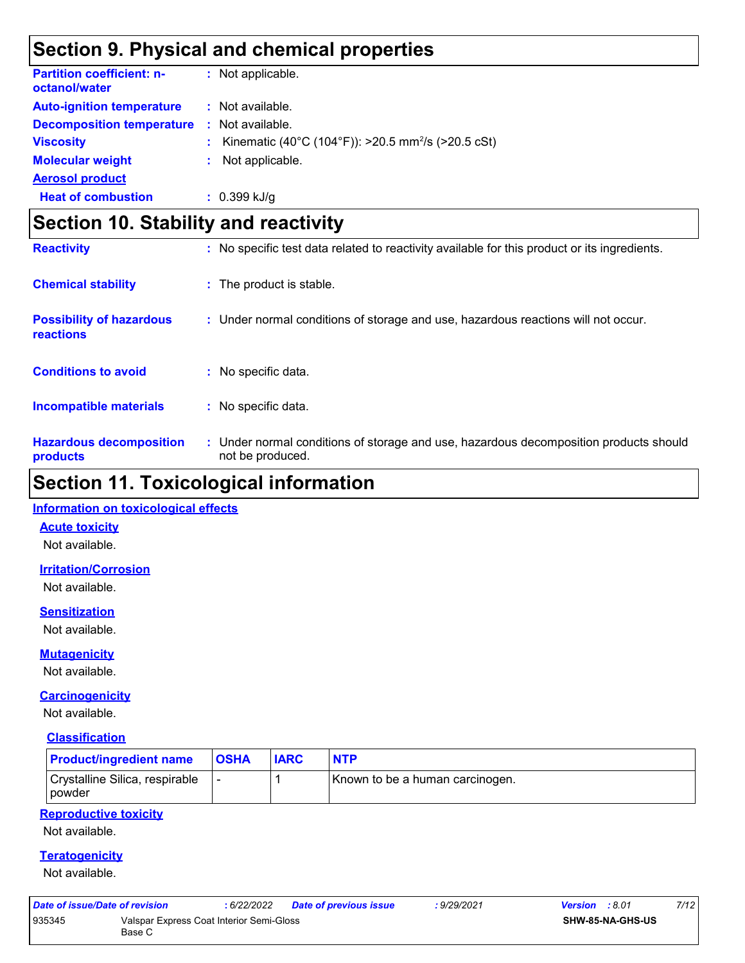### **Section 9. Physical and chemical properties**

| <b>Partition coefficient: n-</b><br>octanol/water |    | : Not applicable.                                              |
|---------------------------------------------------|----|----------------------------------------------------------------|
| <b>Auto-ignition temperature</b>                  |    | : Not available.                                               |
| <b>Decomposition temperature</b>                  |    | : Not available.                                               |
| <b>Viscosity</b>                                  | ÷. | Kinematic (40°C (104°F)): >20.5 mm <sup>2</sup> /s (>20.5 cSt) |
| <b>Molecular weight</b>                           | ÷. | Not applicable.                                                |
| <b>Aerosol product</b>                            |    |                                                                |
| <b>Heat of combustion</b>                         |    | $: 0.399$ kJ/g                                                 |

### **Section 10. Stability and reactivity**

| <b>Reactivity</b>                            | : No specific test data related to reactivity available for this product or its ingredients.              |
|----------------------------------------------|-----------------------------------------------------------------------------------------------------------|
| <b>Chemical stability</b>                    | : The product is stable.                                                                                  |
| <b>Possibility of hazardous</b><br>reactions | : Under normal conditions of storage and use, hazardous reactions will not occur.                         |
| <b>Conditions to avoid</b>                   | : No specific data.                                                                                       |
| <b>Incompatible materials</b>                | : No specific data.                                                                                       |
| <b>Hazardous decomposition</b><br>products   | : Under normal conditions of storage and use, hazardous decomposition products should<br>not be produced. |

### **Section 11. Toxicological information**

#### **Information on toxicological effects**

#### **Acute toxicity**

Not available.

#### **Irritation/Corrosion**

Not available.

#### **Sensitization**

Not available.

#### **Mutagenicity**

Not available.

#### **Carcinogenicity**

Not available.

#### **Classification**

| <b>Product/ingredient name</b>                    | <b>OSHA</b> | <b>IARC</b> | <b>NTP</b>                      |
|---------------------------------------------------|-------------|-------------|---------------------------------|
| Crystalline Silica, respirable<br><i>I</i> powder |             |             | Known to be a human carcinogen. |

#### **Reproductive toxicity**

Not available.

#### **Teratogenicity**

Not available.

| Date of issue/Date of revision |                                                    | : 6/22/2022 | Date of previous issue | : 9/29/2021 | <b>Version</b> : 8.01   | 7/12 |
|--------------------------------|----------------------------------------------------|-------------|------------------------|-------------|-------------------------|------|
| 935345                         | Valspar Express Coat Interior Semi-Gloss<br>Base C |             |                        |             | <b>SHW-85-NA-GHS-US</b> |      |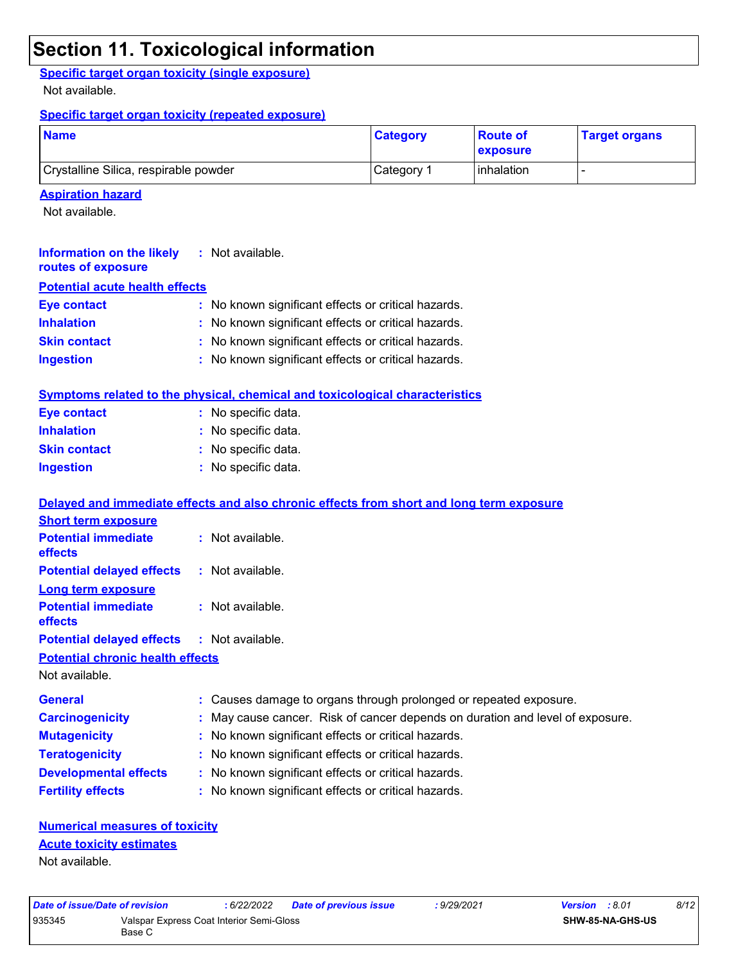### **Section 11. Toxicological information**

**Specific target organ toxicity (single exposure)**

Not available.

#### **Specific target organ toxicity (repeated exposure)**

| <b>Name</b>                           | <b>Category</b> | <b>Route of</b><br><b>Exposure</b> | <b>Target organs</b> |
|---------------------------------------|-----------------|------------------------------------|----------------------|
| Crystalline Silica, respirable powder | Category 1      | <b>l</b> inhalation                |                      |

#### **Aspiration hazard**

Not available.

| Information on the likely<br>routes of exposure | : Not available.                                    |
|-------------------------------------------------|-----------------------------------------------------|
| <b>Potential acute health effects</b>           |                                                     |
| <b>Eye contact</b>                              | : No known significant effects or critical hazards. |
| <b>Inhalation</b>                               | : No known significant effects or critical hazards. |
| <b>Skin contact</b>                             | : No known significant effects or critical hazards. |
| <b>Ingestion</b>                                | : No known significant effects or critical hazards. |
|                                                 |                                                     |

|                     | Symptoms related to the physical, chemical and toxicological characteristics |
|---------------------|------------------------------------------------------------------------------|
| Eye contact         | : No specific data.                                                          |
| <b>Inhalation</b>   | : No specific data.                                                          |
| <b>Skin contact</b> | : No specific data.                                                          |
| <b>Ingestion</b>    | : No specific data.                                                          |

|                                                   | Delayed and immediate effects and also chronic effects from short and long term exposure |
|---------------------------------------------------|------------------------------------------------------------------------------------------|
| <b>Short term exposure</b>                        |                                                                                          |
| <b>Potential immediate</b><br><b>effects</b>      | : Not available.                                                                         |
| <b>Potential delayed effects</b>                  | : Not available.                                                                         |
| <b>Long term exposure</b>                         |                                                                                          |
| <b>Potential immediate</b><br><b>effects</b>      | $:$ Not available.                                                                       |
| <b>Potential delayed effects : Not available.</b> |                                                                                          |
| <b>Potential chronic health effects</b>           |                                                                                          |
| Not available.                                    |                                                                                          |
| <b>General</b>                                    | : Causes damage to organs through prolonged or repeated exposure.                        |
| <b>Carcinogenicity</b>                            | : May cause cancer. Risk of cancer depends on duration and level of exposure.            |
| <b>Mutagenicity</b>                               | : No known significant effects or critical hazards.                                      |
| <b>Teratogenicity</b>                             | : No known significant effects or critical hazards.                                      |
| <b>Developmental effects</b>                      | : No known significant effects or critical hazards.                                      |
| <b>Fertility effects</b>                          | : No known significant effects or critical hazards.                                      |

#### **Numerical measures of toxicity** Not available. **Acute toxicity estimates**

| Date of issue/Date of revision |                                                    | 6/22/2022 | <b>Date of previous issue</b> | : 9/29/2021      | <b>Version</b> : 8.01 | 8/12 |  |
|--------------------------------|----------------------------------------------------|-----------|-------------------------------|------------------|-----------------------|------|--|
| 935345                         | Valspar Express Coat Interior Semi-Gloss<br>Base C |           |                               | SHW-85-NA-GHS-US |                       |      |  |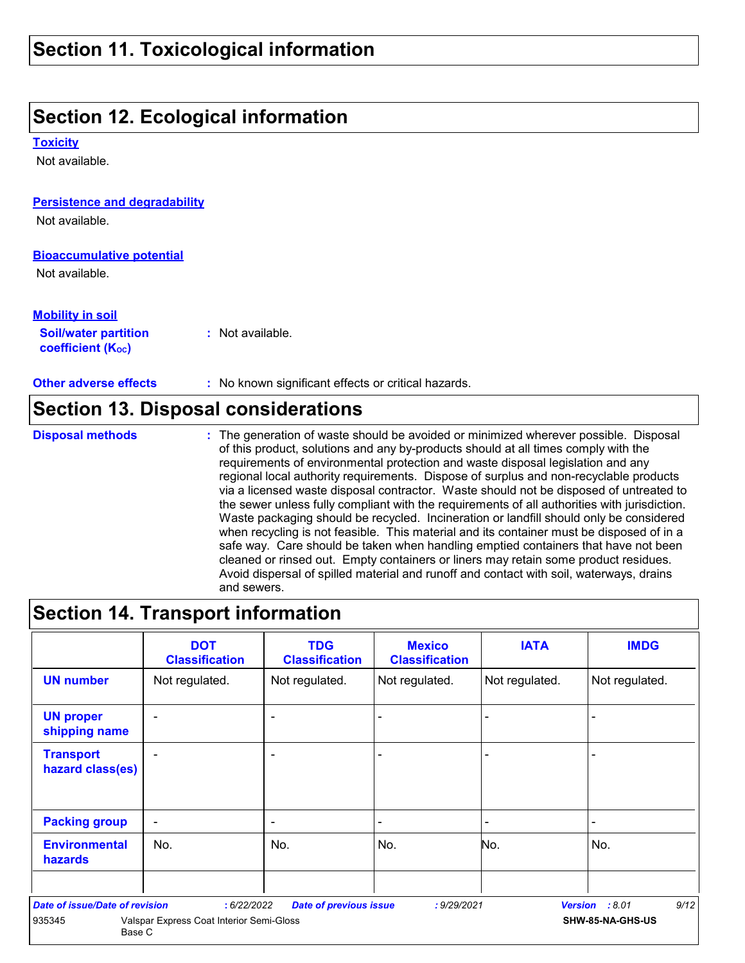### **Section 12. Ecological information**

**Toxicity**

Not available.

#### **Persistence and degradability**

Not available.

#### **Bioaccumulative potential**

Not available.

#### **Mobility in soil**

**Soil/water partition coefficient (KOC) :** Not available.

**Other adverse effects :** No known significant effects or critical hazards.

### **Section 13. Disposal considerations**

**Disposal methods :**

The generation of waste should be avoided or minimized wherever possible. Disposal of this product, solutions and any by-products should at all times comply with the requirements of environmental protection and waste disposal legislation and any regional local authority requirements. Dispose of surplus and non-recyclable products via a licensed waste disposal contractor. Waste should not be disposed of untreated to the sewer unless fully compliant with the requirements of all authorities with jurisdiction. Waste packaging should be recycled. Incineration or landfill should only be considered when recycling is not feasible. This material and its container must be disposed of in a safe way. Care should be taken when handling emptied containers that have not been cleaned or rinsed out. Empty containers or liners may retain some product residues. Avoid dispersal of spilled material and runoff and contact with soil, waterways, drains and sewers.

### **Section 14. Transport information**

|                                        | <b>DOT</b><br><b>Classification</b>      | <b>TDG</b><br><b>Classification</b> | <b>Mexico</b><br><b>Classification</b> | <b>IATA</b>    | <b>IMDG</b>            |
|----------------------------------------|------------------------------------------|-------------------------------------|----------------------------------------|----------------|------------------------|
| <b>UN number</b>                       | Not regulated.                           | Not regulated.                      | Not regulated.                         | Not regulated. | Not regulated.         |
| <b>UN proper</b><br>shipping name      | ۰                                        | $\blacksquare$                      |                                        | -              |                        |
| <b>Transport</b><br>hazard class(es)   |                                          | $\overline{\phantom{0}}$            |                                        | -              |                        |
| <b>Packing group</b>                   | ۰                                        | $\overline{\phantom{0}}$            |                                        | ۰              |                        |
| <b>Environmental</b><br><b>hazards</b> | No.                                      | No.                                 | No.                                    | No.            | No.                    |
| Date of issue/Date of revision         | : 6/22/2022                              | <b>Date of previous issue</b>       | : 9/29/2021                            |                | 9/12<br>Version : 8.01 |
| 935345<br>Base C                       | Valspar Express Coat Interior Semi-Gloss |                                     |                                        |                | SHW-85-NA-GHS-US       |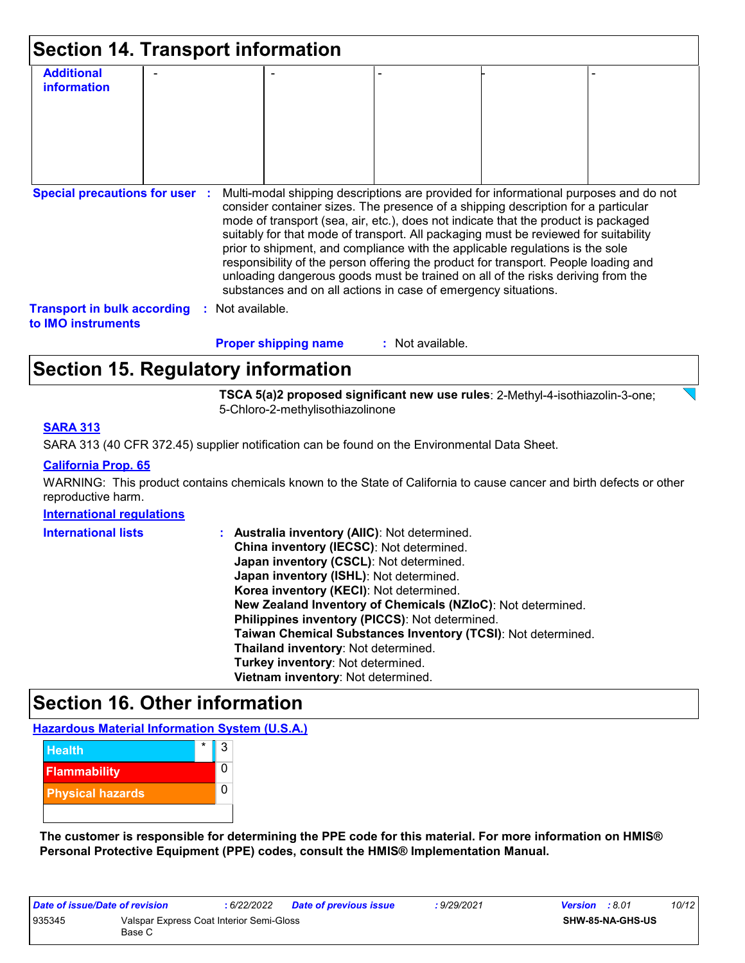| <b>Section 14. Transport information</b>                        |  |                             |                                                                                                                                                                                                                                                                                                                                                                                                                                                                                                                                                                                             |  |
|-----------------------------------------------------------------|--|-----------------------------|---------------------------------------------------------------------------------------------------------------------------------------------------------------------------------------------------------------------------------------------------------------------------------------------------------------------------------------------------------------------------------------------------------------------------------------------------------------------------------------------------------------------------------------------------------------------------------------------|--|
| <b>Additional</b><br>information                                |  |                             |                                                                                                                                                                                                                                                                                                                                                                                                                                                                                                                                                                                             |  |
| <b>Special precautions for user :</b>                           |  |                             | Multi-modal shipping descriptions are provided for informational purposes and do not                                                                                                                                                                                                                                                                                                                                                                                                                                                                                                        |  |
|                                                                 |  |                             | consider container sizes. The presence of a shipping description for a particular<br>mode of transport (sea, air, etc.), does not indicate that the product is packaged<br>suitably for that mode of transport. All packaging must be reviewed for suitability<br>prior to shipment, and compliance with the applicable regulations is the sole<br>responsibility of the person offering the product for transport. People loading and<br>unloading dangerous goods must be trained on all of the risks deriving from the<br>substances and on all actions in case of emergency situations. |  |
| <b>Transport in bulk according</b><br>to <b>IMO</b> instruments |  | Not available.              |                                                                                                                                                                                                                                                                                                                                                                                                                                                                                                                                                                                             |  |
|                                                                 |  | <b>Proper shipping name</b> | : Not available.                                                                                                                                                                                                                                                                                                                                                                                                                                                                                                                                                                            |  |

### **Section 15. Regulatory information**

**TSCA 5(a)2 proposed significant new use rules**: 2-Methyl-4-isothiazolin-3-one; 5-Chloro-2-methylisothiazolinone

#### **SARA 313**

SARA 313 (40 CFR 372.45) supplier notification can be found on the Environmental Data Sheet.

#### **California Prop. 65**

WARNING: This product contains chemicals known to the State of California to cause cancer and birth defects or other reproductive harm.

#### **International regulations**

| <b>International lists</b> | Australia inventory (AIIC): Not determined.<br>÷.            |
|----------------------------|--------------------------------------------------------------|
|                            | China inventory (IECSC): Not determined.                     |
|                            | Japan inventory (CSCL): Not determined.                      |
|                            | Japan inventory (ISHL): Not determined.                      |
|                            | Korea inventory (KECI): Not determined.                      |
|                            | New Zealand Inventory of Chemicals (NZIoC): Not determined.  |
|                            | Philippines inventory (PICCS): Not determined.               |
|                            | Taiwan Chemical Substances Inventory (TCSI): Not determined. |
|                            | Thailand inventory: Not determined.                          |
|                            | Turkey inventory: Not determined.                            |
|                            | Vietnam inventory: Not determined.                           |

### **Section 16. Other information**

#### **Hazardous Material Information System (U.S.A.)**



**The customer is responsible for determining the PPE code for this material. For more information on HMIS® Personal Protective Equipment (PPE) codes, consult the HMIS® Implementation Manual.**

| Date of issue/Date of revision |                                                    | : 6/22/2022 | <b>Date of previous issue</b> | : 9/29/2021 | <b>Version</b> : 8.01 |                         | 10/12 |
|--------------------------------|----------------------------------------------------|-------------|-------------------------------|-------------|-----------------------|-------------------------|-------|
| 935345                         | Valspar Express Coat Interior Semi-Gloss<br>Base C |             |                               |             |                       | <b>SHW-85-NA-GHS-US</b> |       |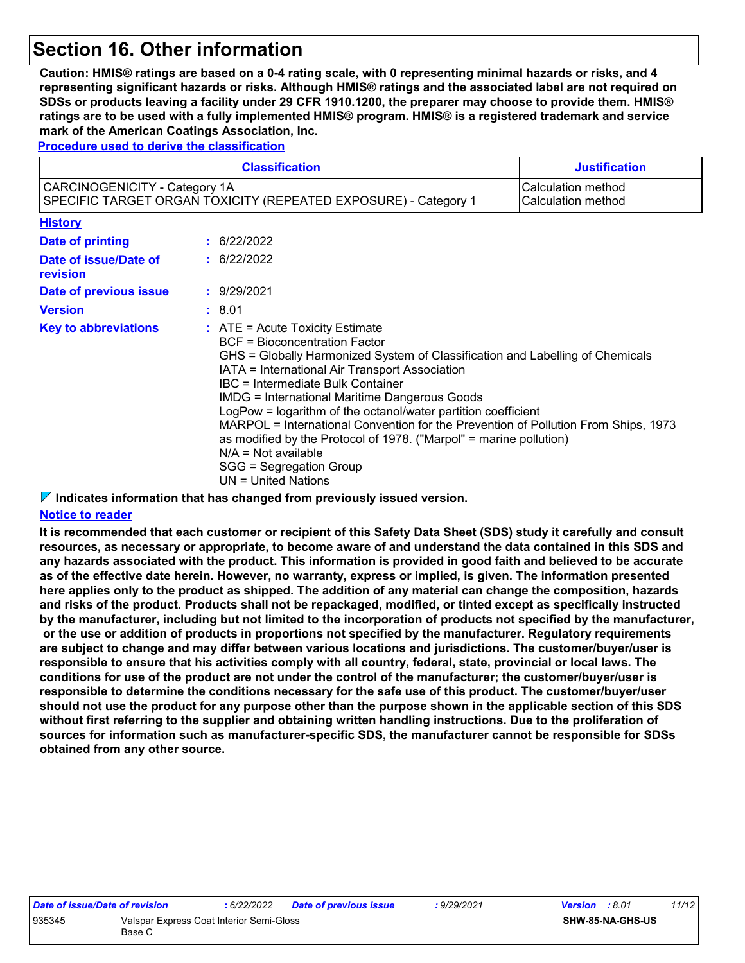### **Section 16. Other information**

**Caution: HMIS® ratings are based on a 0-4 rating scale, with 0 representing minimal hazards or risks, and 4 representing significant hazards or risks. Although HMIS® ratings and the associated label are not required on SDSs or products leaving a facility under 29 CFR 1910.1200, the preparer may choose to provide them. HMIS® ratings are to be used with a fully implemented HMIS® program. HMIS® is a registered trademark and service mark of the American Coatings Association, Inc.**

**Procedure used to derive the classification**

|                                   | <b>Classification</b>                                                                                                                                                                                                                                                                                                                                                                                                                                                                                                                                                                                                        | <b>Justification</b>                     |
|-----------------------------------|------------------------------------------------------------------------------------------------------------------------------------------------------------------------------------------------------------------------------------------------------------------------------------------------------------------------------------------------------------------------------------------------------------------------------------------------------------------------------------------------------------------------------------------------------------------------------------------------------------------------------|------------------------------------------|
| CARCINOGENICITY - Category 1A     | SPECIFIC TARGET ORGAN TOXICITY (REPEATED EXPOSURE) - Category 1                                                                                                                                                                                                                                                                                                                                                                                                                                                                                                                                                              | Calculation method<br>Calculation method |
| <b>History</b>                    |                                                                                                                                                                                                                                                                                                                                                                                                                                                                                                                                                                                                                              |                                          |
| Date of printing                  | : 6/22/2022                                                                                                                                                                                                                                                                                                                                                                                                                                                                                                                                                                                                                  |                                          |
| Date of issue/Date of<br>revision | : 6/22/2022                                                                                                                                                                                                                                                                                                                                                                                                                                                                                                                                                                                                                  |                                          |
| Date of previous issue            | : 9/29/2021                                                                                                                                                                                                                                                                                                                                                                                                                                                                                                                                                                                                                  |                                          |
| <b>Version</b>                    | : 8.01                                                                                                                                                                                                                                                                                                                                                                                                                                                                                                                                                                                                                       |                                          |
| <b>Key to abbreviations</b>       | $\therefore$ ATE = Acute Toxicity Estimate<br><b>BCF</b> = Bioconcentration Factor<br>GHS = Globally Harmonized System of Classification and Labelling of Chemicals<br>IATA = International Air Transport Association<br>IBC = Intermediate Bulk Container<br><b>IMDG = International Maritime Dangerous Goods</b><br>LogPow = logarithm of the octanol/water partition coefficient<br>MARPOL = International Convention for the Prevention of Pollution From Ships, 1973<br>as modified by the Protocol of 1978. ("Marpol" = marine pollution)<br>$N/A = Not available$<br>SGG = Segregation Group<br>$UN = United Nations$ |                                          |

**Indicates information that has changed from previously issued version.**

#### **Notice to reader**

**It is recommended that each customer or recipient of this Safety Data Sheet (SDS) study it carefully and consult resources, as necessary or appropriate, to become aware of and understand the data contained in this SDS and any hazards associated with the product. This information is provided in good faith and believed to be accurate as of the effective date herein. However, no warranty, express or implied, is given. The information presented here applies only to the product as shipped. The addition of any material can change the composition, hazards and risks of the product. Products shall not be repackaged, modified, or tinted except as specifically instructed by the manufacturer, including but not limited to the incorporation of products not specified by the manufacturer, or the use or addition of products in proportions not specified by the manufacturer. Regulatory requirements are subject to change and may differ between various locations and jurisdictions. The customer/buyer/user is responsible to ensure that his activities comply with all country, federal, state, provincial or local laws. The conditions for use of the product are not under the control of the manufacturer; the customer/buyer/user is responsible to determine the conditions necessary for the safe use of this product. The customer/buyer/user should not use the product for any purpose other than the purpose shown in the applicable section of this SDS without first referring to the supplier and obtaining written handling instructions. Due to the proliferation of sources for information such as manufacturer-specific SDS, the manufacturer cannot be responsible for SDSs obtained from any other source.**